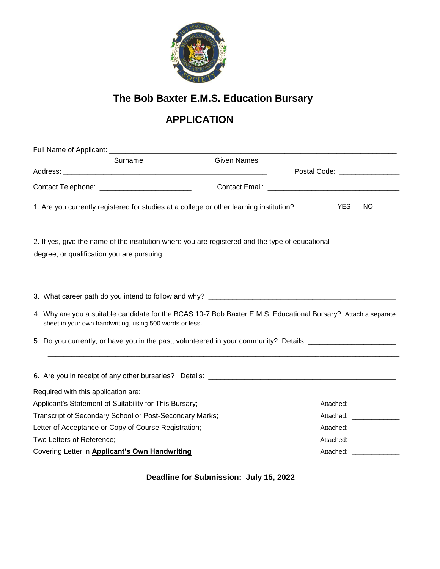

## **The Bob Baxter E.M.S. Education Bursary**

## **APPLICATION**

| Surname                                                                                                                                                                   | <b>Given Names</b> |                                |
|---------------------------------------------------------------------------------------------------------------------------------------------------------------------------|--------------------|--------------------------------|
|                                                                                                                                                                           |                    | Postal Code: _________________ |
|                                                                                                                                                                           |                    |                                |
| 1. Are you currently registered for studies at a college or other learning institution?                                                                                   |                    | <b>YES</b><br><b>NO</b>        |
| 2. If yes, give the name of the institution where you are registered and the type of educational<br>degree, or qualification you are pursuing:                            |                    |                                |
|                                                                                                                                                                           |                    |                                |
|                                                                                                                                                                           |                    |                                |
| 4. Why are you a suitable candidate for the BCAS 10-7 Bob Baxter E.M.S. Educational Bursary? Attach a separate<br>sheet in your own handwriting, using 500 words or less. |                    |                                |
| 5. Do you currently, or have you in the past, volunteered in your community? Details:                                                                                     |                    |                                |
|                                                                                                                                                                           |                    |                                |
| Required with this application are:                                                                                                                                       |                    |                                |
| Applicant's Statement of Suitability for This Bursary;                                                                                                                    |                    | Attached: ______________       |
| Transcript of Secondary School or Post-Secondary Marks;                                                                                                                   |                    | Attached: ______________       |
| Letter of Acceptance or Copy of Course Registration;                                                                                                                      |                    | Attached: ______________       |
| Two Letters of Reference;                                                                                                                                                 |                    | Attached: ______________       |
| Covering Letter in Applicant's Own Handwriting                                                                                                                            |                    | Attached: ______________       |

**Deadline for Submission: July 15, 2022**